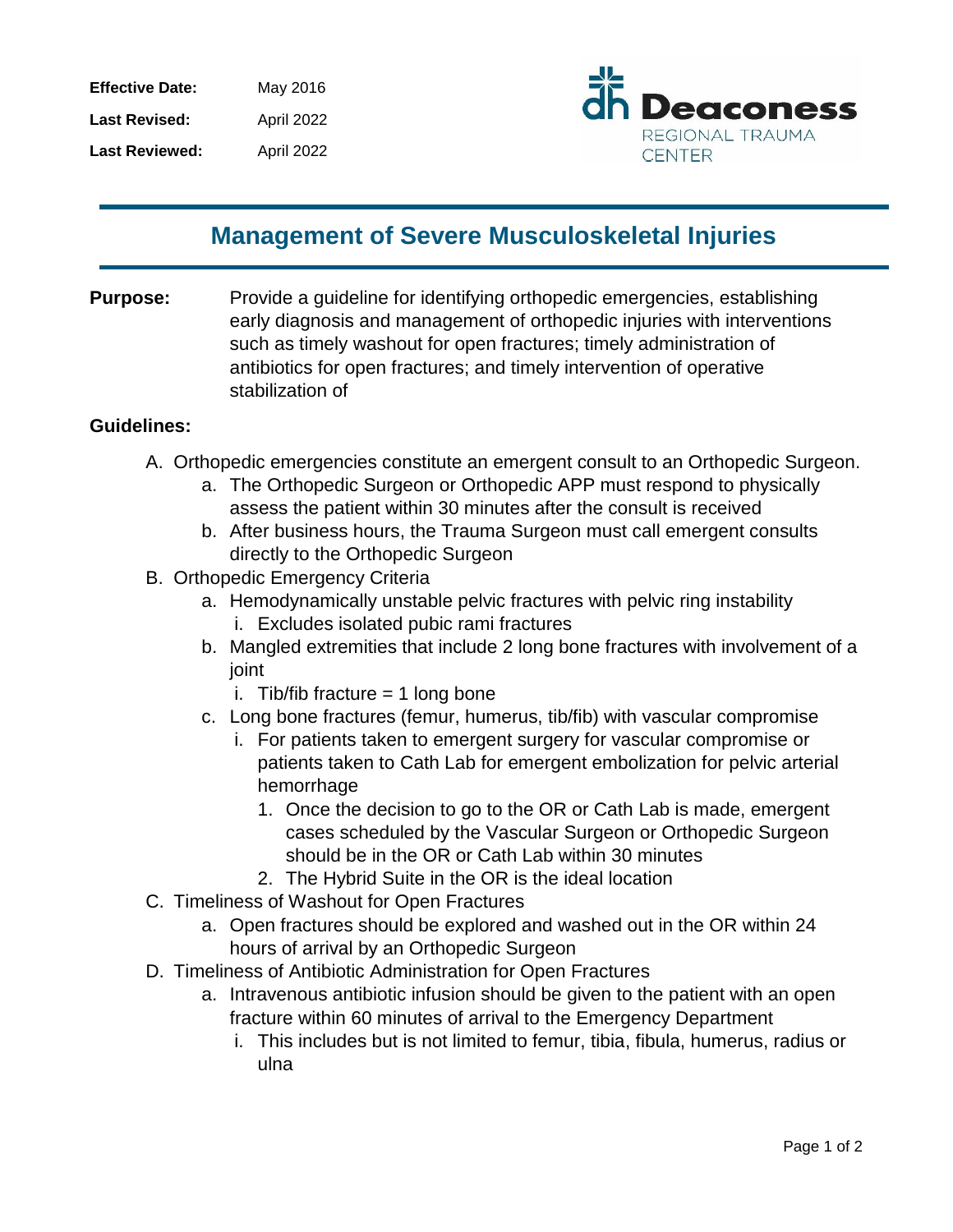| <b>Effective Date:</b> | May 2016          |
|------------------------|-------------------|
| <b>Last Revised:</b>   | <b>April 2022</b> |
| <b>Last Reviewed:</b>  | April 2022        |



## **Management of Severe Musculoskeletal Injuries**

**Purpose:** Provide a guideline for identifying orthopedic emergencies, establishing early diagnosis and management of orthopedic injuries with interventions such as timely washout for open fractures; timely administration of antibiotics for open fractures; and timely intervention of operative stabilization of

## **Guidelines:**

- A. Orthopedic emergencies constitute an emergent consult to an Orthopedic Surgeon.
	- a. The Orthopedic Surgeon or Orthopedic APP must respond to physically assess the patient within 30 minutes after the consult is received
	- b. After business hours, the Trauma Surgeon must call emergent consults directly to the Orthopedic Surgeon
- B. Orthopedic Emergency Criteria
	- a. Hemodynamically unstable pelvic fractures with pelvic ring instability i. Excludes isolated pubic rami fractures
	- b. Mangled extremities that include 2 long bone fractures with involvement of a joint
		- i. Tib/fib fracture  $= 1$  long bone
	- c. Long bone fractures (femur, humerus, tib/fib) with vascular compromise
		- i. For patients taken to emergent surgery for vascular compromise or patients taken to Cath Lab for emergent embolization for pelvic arterial hemorrhage
			- 1. Once the decision to go to the OR or Cath Lab is made, emergent cases scheduled by the Vascular Surgeon or Orthopedic Surgeon should be in the OR or Cath Lab within 30 minutes
			- 2. The Hybrid Suite in the OR is the ideal location
- C. Timeliness of Washout for Open Fractures
	- a. Open fractures should be explored and washed out in the OR within 24 hours of arrival by an Orthopedic Surgeon
- D. Timeliness of Antibiotic Administration for Open Fractures
	- a. Intravenous antibiotic infusion should be given to the patient with an open fracture within 60 minutes of arrival to the Emergency Department
		- i. This includes but is not limited to femur, tibia, fibula, humerus, radius or ulna